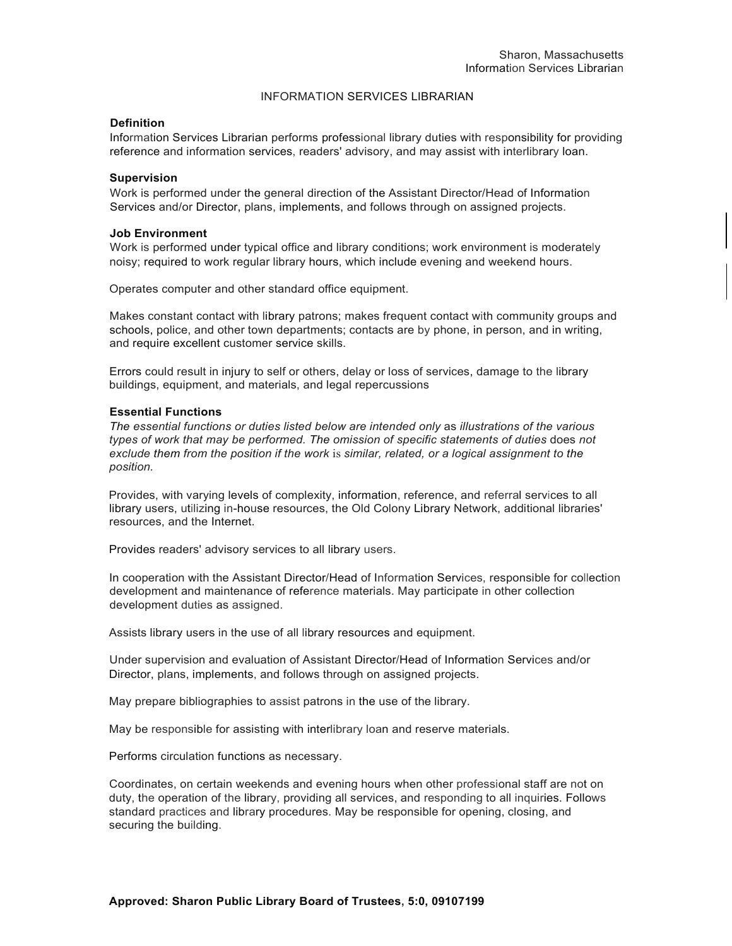# INFORMATION SERVICES LIBRARIAN

## **Definition**

Information Services Librarian performs professional library duties with responsibility for providing reference and information services, readers' advisory, and may assist with interlibrary loan.

## **Supervision**

Work is performed under the general direction of the Assistant Director/Head of Information Services and/or Director, plans, implements, and follows through on assigned projects.

#### **Job Environment**

Work is performed under typical office and library conditions; work environment is moderately noisy; required to work regular library hours, which include evening and weekend hours.

Operates computer and other standard office equipment.

Makes constant contact with library patrons; makes frequent contact with community groups and schools, police, and other town departments; contacts are by phone, in person, and in writing, and require excellent customer service skills.

Errors could result in injury to self or others, delay or loss of services, damage to the library buildings, equipment, and materials, and legal repercussions

# **Essential Functions**

*The essential functions or duties listed below are intended only* as *illustrations of the various*  types of work that may be performed. The omission of specific statements of duties does not *exclude them from the position if the work* is *similar, related, or a logical assignment to the position.*

Provides, with varying levels of complexity, information, reference, and referral services to all library users, utilizing in-house resources, the Old Colony Library Network, additional libraries' resources, and the Internet.

Provides readers' advisory services to all library users.

In cooperation with the Assistant Director/Head of Information Services, responsible for collection development and maintenance of reference materials. May participate in other collection development duties as assigned.

Assists library users in the use of all library resources and equipment.

Under supervision and evaluation of Assistant Director/Head of Information Services and/or Director, plans, implements, and follows through on assigned projects.

May prepare bibliographies to assist patrons in the use of the library.

May be responsible for assisting with interlibrary loan and reserve materials.

Performs circulation functions as necessary.

Coordinates, on certain weekends and evening hours when other professional staff are not on duty, the operation of the library, providing all services, and responding to all inquiries. Follows standard practices and library procedures. May be responsible for opening, closing, and securing the building.